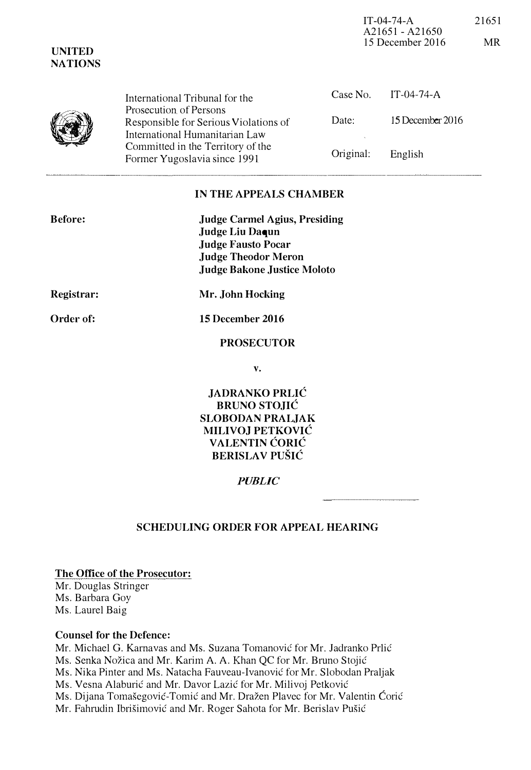| IT-04-74-A       | 21651 |
|------------------|-------|
| A21651 - A21650  |       |
| 15 December 2016 | MR.   |

| International Tribunal for the<br>Prosecution of Persons<br>Responsible for Serious Violations of<br>International Humanitarian Law<br>Committed in the Territory of the<br>Former Yugoslavia since 1991 | Date:<br>Original: | Case No. IT-04-74-A<br>15 December 2016<br>English |
|----------------------------------------------------------------------------------------------------------------------------------------------------------------------------------------------------------|--------------------|----------------------------------------------------|
|                                                                                                                                                                                                          |                    |                                                    |

#### IN THE APPEALS CHAMBER

| <b>Before:</b> | <b>Judge Carmel Agius, Presiding</b><br>Judge Liu Daqun<br><b>Judge Fausto Pocar</b><br><b>Judge Theodor Meron</b><br><b>Judge Bakone Justice Moloto</b> |
|----------------|----------------------------------------------------------------------------------------------------------------------------------------------------------|
| Registrar:     | Mr. John Hocking                                                                                                                                         |
| Order of:      | 15 December 2016                                                                                                                                         |

#### PROSECUTOR

v.

JADRANKO PRLIC BRUNO STOJIC SLOBODAN PRALJAK MILIVOJ PETKOVIC VALENTIN CORIC BERISLAV PUŠIĆ

**PUBLIC** 

# SCHEDULING ORDER FOR APPEAL HEARING

## The Office of the Prosecutor:

Mr. Douglas Stringer Ms. Barbara Goy Ms. Laurel Baig

UNITED NATIONS

# Counsel for the Dcfence:

Mr. Michael G. Karnavas and Ms. Suzana Tomanovic for Mr. Jadranko Prlic Ms. Senka Nozica and Mr. Karim A. A. Khan QC for Mr. Bruno Stojic Ms. Nika Pinter and Ms. Natacha Fauveau-Ivanovic for Mr. Slobodan Praljak Ms. Vesna Alaburic and Mr. Davor Lazic for Mr. Milivoj Petkovic Ms. Dijana Tomašegović-Tomić and Mr. Dražen Plavec for Mr. Valentin Ćorić Mr. Fahrudin Ibrisimovic and Mr. Roger Sahota for Mr. Berislav Pusic